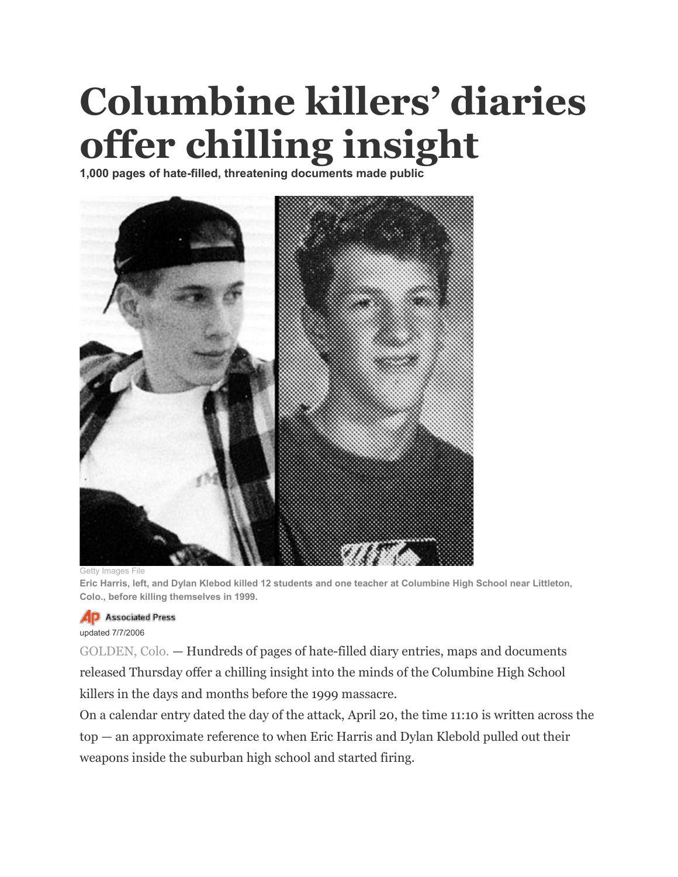## **Columbine killers' diaries offer chilling insight**

**1,000 pages of hate-filled, threatening documents made public**



Getty Images File

**Eric Harris, left, and Dylan Klebod killed 12 students and one teacher at Columbine High School near Littleton, Colo., before killing themselves in 1999.**

## **AD** Associated Press

updated 7/7/2006

[GOLDEN,](http://www.bing.com/maps/?v=2&where1=GOLDEN,%20Colo.&sty=h&form=msdate) Colo. — Hundreds of pages of hate-filled diary entries, maps and documents released Thursday offer a chilling insight into the minds of the Columbine High School killers in the days and months before the 1999 massacre.

On a calendar entry dated the day of the attack, April 20, the time 11:10 is written across the top — an approximate reference to when Eric Harris and Dylan Klebold pulled out their weapons inside the suburban high school and started firing.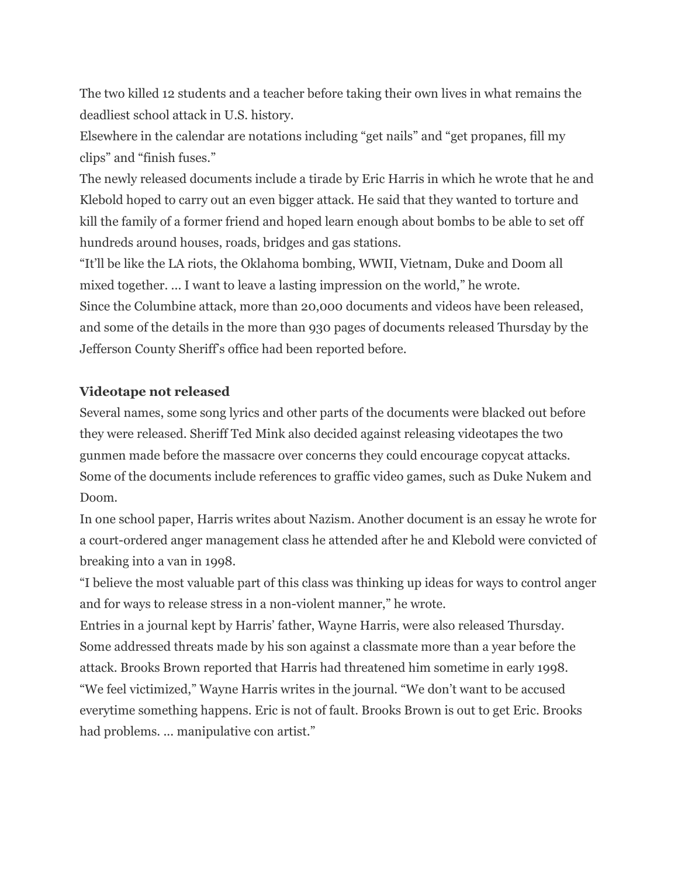The two killed 12 students and a teacher before taking their own lives in what remains the deadliest school attack in U.S. history.

Elsewhere in the calendar are notations including "get nails" and "get propanes, fill my clips" and "finish fuses."

The newly released documents include a tirade by Eric Harris in which he wrote that he and Klebold hoped to carry out an even bigger attack. He said that they wanted to torture and kill the family of a former friend and hoped learn enough about bombs to be able to set off hundreds around houses, roads, bridges and gas stations.

"It'll be like the LA riots, the Oklahoma bombing, WWII, Vietnam, Duke and Doom all mixed together. ... I want to leave a lasting impression on the world," he wrote. Since the Columbine attack, more than 20,000 documents and videos have been released, and some of the details in the more than 930 pages of documents released Thursday by the Jefferson County Sheriff's office had been reported before.

## **Videotape not released**

Several names, some song lyrics and other parts of the documents were blacked out before they were released. Sheriff Ted Mink also decided against releasing videotapes the two gunmen made before the massacre over concerns they could encourage copycat attacks. Some of the documents include references to graffic video games, such as Duke Nukem and Doom.

In one school paper, Harris writes about Nazism. Another document is an essay he wrote for a court-ordered anger management class he attended after he and Klebold were convicted of breaking into a van in 1998.

"I believe the most valuable part of this class was thinking up ideas for ways to control anger and for ways to release stress in a non-violent manner," he wrote.

Entries in a journal kept by Harris' father, Wayne Harris, were also released Thursday. Some addressed threats made by his son against a classmate more than a year before the attack. Brooks Brown reported that Harris had threatened him sometime in early 1998. "We feel victimized," Wayne Harris writes in the journal. "We don't want to be accused everytime something happens. Eric is not of fault. Brooks Brown is out to get Eric. Brooks had problems. ... manipulative con artist."